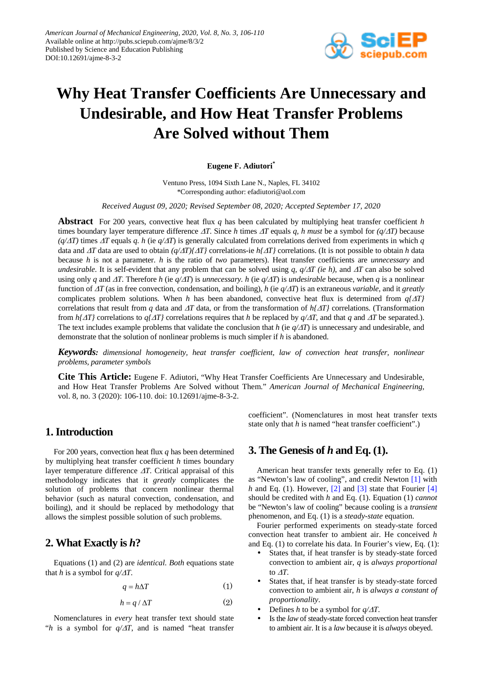

# **Why Heat Transfer Coefficients Are Unnecessary and Undesirable, and How Heat Transfer Problems Are Solved without Them**

**Eugene F. Adiutori\***

Ventuno Press, 1094 Sixth Lane N., Naples, FL 34102 \*Corresponding author: efadiutori@aol.com

*Received August 09, 2020; Revised September 08, 2020; Accepted September 17, 2020*

**Abstract** For 200 years, convective heat flux *q* has been calculated by multiplying heat transfer coefficient *h* times boundary layer temperature difference ∆*T*. Since *h* times ∆*T* equals *q, h must* be a symbol for *(q/*∆*T)* because *(q/*∆*T)* times <sup>∆</sup>*T* equals *q. h* (ie *q/*∆*T*) is generally calculated from correlations derived from experiments in which *q* data and ∆*T* data are used to obtain *(q/*∆*T){*∆*T}* correlations-ie *h{*∆*T}* correlations. (It is not possible to obtain *h* data because *h* is not a parameter. *h* is the ratio of *two* parameters). Heat transfer coefficients are *unnecessary* and *undesirable*. It is self-evident that any problem that can be solved using *q, q/*∆*T (ie h)*, and ∆*T* can also be solved using only *q* and  $\Delta T$ . Therefore *h* (ie  $q/\Delta T$ ) is *unnecessary. h* (ie  $q/\Delta T$ ) is *undesirable* because, when *q* is a nonlinear function of ∆*T* (as in free convection, condensation, and boiling), *h* (ie *q/*∆*T*) is an extraneous *variable*, and it *greatly* complicates problem solutions. When *h* has been abandoned, convective heat flux is determined from *q{*∆*T}* correlations that result from *q* data and ∆*T* data, or from the transformation of *h{*∆*T}* correlations. (Transformation from *h{*∆*T}* correlations to *q{*∆*T}* correlations requires that *h* be replaced by *q/*∆*T*, and that *q* and ∆*T* be separated.). The text includes example problems that validate the conclusion that *h* (ie  $q/\Delta T$ ) is unnecessary and undesirable, and demonstrate that the solution of nonlinear problems is much simpler if *h* is abandoned.

*Keywords: dimensional homogeneity, heat transfer coefficient, law of convection heat transfer, nonlinear problems, parameter symbols*

**Cite This Article:** Eugene F. Adiutori, "Why Heat Transfer Coefficients Are Unnecessary and Undesirable, and How Heat Transfer Problems Are Solved without Them." *American Journal of Mechanical Engineering*, vol. 8, no. 3 (2020): 106-110. doi: 10.12691/ajme-8-3-2.

# **1. Introduction**

For 200 years, convection heat flux *q* has been determined by multiplying heat transfer coefficient *h* times boundary layer temperature difference ∆*T*. Critical appraisal of this methodology indicates that it *greatly* complicates the solution of problems that concern nonlinear thermal behavior (such as natural convection, condensation, and boiling), and it should be replaced by methodology that allows the simplest possible solution of such problems.

# **2. What Exactly is** *h***?**

Equations (1) and (2) are *identical. Both* equations state that *h* is a symbol for  $q/\Delta T$ .

$$
q = h\Delta T \tag{1}
$$

$$
h = q / \Delta T \tag{2}
$$

Nomenclatures in *every* heat transfer text should state "*h* is a symbol for *q/*∆*T*, and is named "heat transfer coefficient". (Nomenclatures in most heat transfer texts state only that *h* is named "heat transfer coefficient".)

# **3. The Genesis of** *h* **and Eq. (1).**

American heat transfer texts generally refer to Eq. (1) as "Newton's law of cooling", and credit Newton [\[1\]](#page-4-0) with *h* and Eq. (1). However, [\[2\]](#page-4-1) and [\[3\]](#page-4-2) state that Fourier [\[4\]](#page-4-3) should be credited with *h* and Eq. (1). Equation (1) *cannot*  be "Newton's law of cooling" because cooling is a *transient* phenomenon, and Eq. (1) is a *steady-state* equation.

Fourier performed experiments on steady-state forced convection heat transfer to ambient air. He conceived *h* and Eq. (1) to correlate his data. In Fourier's view, Eq. (1):

- States that, if heat transfer is by steady-state forced convection to ambient air, *q* is *always proportional* to ∆*T*.
- States that, if heat transfer is by steady-state forced convection to ambient air, *h* is *always a constant of proportionality*.
- Defines *h* to be a symbol for *q/*∆*T*.
- Is the *law* of steady-state forced convection heat transfer to ambient air. It is a *law* because it is *always* obeyed.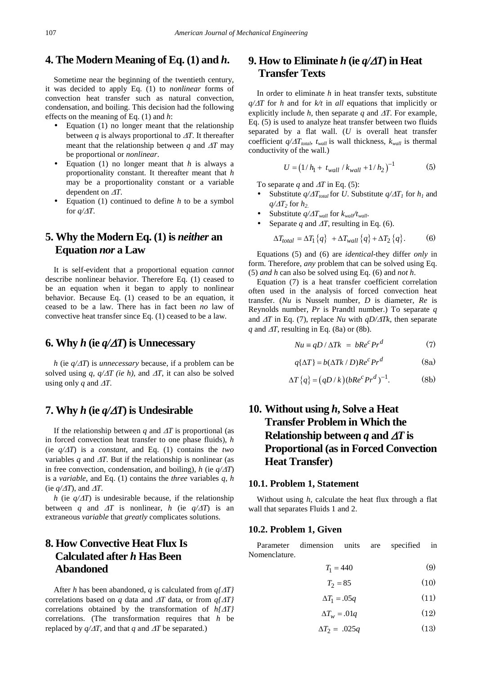## **4. The Modern Meaning of Eq. (1) and** *h***.**

Sometime near the beginning of the twentieth century, it was decided to apply Eq. (1) to *nonlinear* forms of convection heat transfer such as natural convection, condensation, and boiling. This decision had the following effects on the meaning of Eq. (1) and *h*:

- Equation (1) no longer meant that the relationship between *q* is always proportional to  $\Delta T$ . It thereafter meant that the relationship between *q* and  $\Delta T$  may be proportional or *nonlinear*.
- Equation (1) no longer meant that *h* is always a proportionality constant. It thereafter meant that *h* may be a proportionality constant or a variable dependent on ∆*T*.
- Equation (1) continued to define *h* to be a symbol for *q/*∆*T*.

# **5. Why the Modern Eq. (1) is** *neither* **an Equation** *nor* **a Law**

It is self-evident that a proportional equation *cannot* describe nonlinear behavior. Therefore Eq. (1) ceased to be an equation when it began to apply to nonlinear behavior. Because Eq. (1) ceased to be an equation, it ceased to be a law. There has in fact been *no* law of convective heat transfer since Eq. (1) ceased to be a law.

### **6. Why** *h* (ie  $q/\Delta T$ ) is Unnecessary

*h* (ie *q/*∆*T*) is *unnecessary* because, if a problem can be solved using *q, q/* $\Delta T$  *(ie h)*, and  $\Delta T$ , it can also be solved using only *q* and  $\Delta T$ .

# **7. Why** *h* (ie  $q/\Delta T$ ) is Undesirable

If the relationship between *q* and ∆*T* is proportional (as in forced convection heat transfer to one phase fluids), *h* (ie *q/*∆*T*) is a *constant*, and Eq. (1) contains the *two* variables *q* and ∆*T*. But if the relationship is nonlinear (as in free convection, condensation, and boiling), *h* (ie  $q/\Delta T$ ) is a *variable*, and Eq. (1) contains the *three* variables *q, h* (ie  $q/\Delta T$ ), and  $\Delta T$ .

*h* (ie  $q/\Delta T$ ) is undesirable because, if the relationship between *q* and  $\Delta T$  is nonlinear, *h* (ie  $q/\Delta T$ ) is an extraneous *variable* that *greatly* complicates solutions.

# **8. How Convective Heat Flux Is Calculated after** *h* **Has Been Abandoned**

After *h* has been abandoned, *q* is calculated from *q{*∆*T}* correlations based on *q* data and ∆*T* data, or from *q{*∆*T}* correlations obtained by the transformation of *h{*∆*T}* correlations. (The transformation requires that *h* be replaced by  $q/\Delta T$ , and that q and  $\Delta T$  be separated.)

# **9. How to Eliminate** *h* **(ie**  $q/\Delta T$ **) in Heat Transfer Texts**

In order to eliminate *h* in heat transfer texts, substitute *q/*∆*T* for *h* and for *k/t* in *all* equations that implicitly or explicitly include  $h$ , then separate  $q$  and  $\Delta T$ . For example, Eq. (5) is used to analyze heat transfer between two fluids separated by a flat wall. (*U* is overall heat transfer coefficient  $q/\Delta T_{total}$ ,  $t_{wall}$  is wall thickness,  $k_{wall}$  is thermal conductivity of the wall.)

$$
U = (1/h_1 + t_{wall} / k_{wall} + 1/h_2)^{-1}
$$
 (5)

To separate *q* and ∆*T* in Eq. (5):

- Substitute  $q/\Delta T_{total}$  for *U*. Substitute  $q/\Delta T_1$  for  $h_1$  and  $q/\Delta T_2$  for  $h_2$ .
- Substitute *q/*∆*Twall* for *kwall/twall*.
- Separate *q* and  $\Delta T$ , resulting in Eq. (6).

$$
\Delta T_{total} = \Delta T_1 \{q\} + \Delta T_{wall} \{q\} + \Delta T_2 \{q\}.
$$
 (6)

Equations (5) and (6) are *identical*-they differ *only* in form. Therefore, *any* problem that can be solved using Eq. (5) *and h* can also be solved using Eq. (6) and *not h*.

Equation (7) is a heat transfer coefficient correlation often used in the analysis of forced convection heat transfer. (*Nu* is Nusselt number, *D* is diameter, *Re* is Reynolds number, *Pr* is Prandtl number.) To separate *q* and ∆*T* in Eq. (7), replace *Nu* with *qD/*∆*Tk*, then separate *q* and  $\Delta T$ , resulting in Eq. (8a) or (8b).

$$
Nu \equiv qD / \Delta Tk = bRe^c Pr^d \tag{7}
$$

$$
q\{\Delta T\} = b(\Delta T k / D)Re^{c} Pr^{d}
$$
 (8a)

$$
\Delta T\{q\} = (qD/k)(bRe^c Pr^d)^{-1}.
$$
 (8b)

# **10. Without using** *h***, Solve a Heat Transfer Problem in Which the Relationship between** *q* **and** ∆*T* **is Proportional (as in Forced Convection Heat Transfer)**

#### **10.1. Problem 1, Statement**

Without using *h*, calculate the heat flux through a flat wall that separates Fluids 1 and 2.

#### **10.2. Problem 1, Given**

Parameter dimension units are specified in Nomenclature.

$$
T_1 = 440\tag{9}
$$

 $T_2 = 85$  (10)

$$
\Delta T_1 = .05q \tag{11}
$$

$$
\Delta T_w = .01q \tag{12}
$$

$$
\Delta T_2 = .025q \tag{13}
$$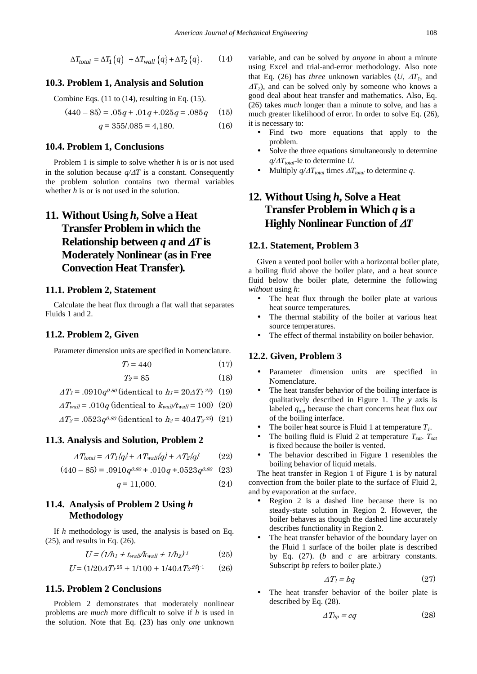$$
\Delta T_{total} = \Delta T_1 \{q\} + \Delta T_{wall} \{q\} + \Delta T_2 \{q\}. \tag{14}
$$

#### **10.3. Problem 1, Analysis and Solution**

Combine Eqs. (11 to (14), resulting in Eq. (15).

$$
(440 - 85) = .05q + .01q + .025q = .085q \quad (15)
$$

$$
q = 355/.085 = 4,180.
$$
 (16)

#### **10.4. Problem 1, Conclusions**

Problem 1 is simple to solve whether *h* is or is not used in the solution because *q/*∆*T* is a constant. Consequently the problem solution contains two thermal variables whether *h* is or is not used in the solution.

# **11. Without Using** *h***, Solve a Heat Transfer Problem in which the Relationship between** *q* **and** ∆*T* **is Moderately Nonlinear (as in Free Convection Heat Transfer)***.*

#### **11.1. Problem 2, Statement**

Calculate the heat flux through a flat wall that separates Fluids 1 and 2.

#### **11.2. Problem 2, Given**

Parameter dimension units are specified in Nomenclature.

$$
T_1 = 440 \tag{17}
$$

$$
T_2 = 85 \tag{18}
$$

$$
\Delta T_I = .0910q^{0.80} \text{ (identical to } h_I = 20 \Delta T_I^{25}) \tag{19}
$$

$$
\Delta T_{wall} = .010q \text{ (identical to } k_{wall}/t_{wall} = 100) \text{ (20)}
$$

$$
\Delta T_2 = .0523 q^{0.80}
$$
 (identical to  $h_2 = 40 \Delta T_2^{25}$ ) (21)

#### **11.3. Analysis and Solution, Problem 2**

$$
\Delta T_{total} = \Delta T_1 \{q\} + \Delta T_{wall} \{q\} + \Delta T_2 \{q\} \tag{22}
$$

$$
(440 - 85) = .0910q^{0.80} + .010q + .0523q^{0.80} \quad (23)
$$

$$
q = 11,000.\t(24)
$$

## **11.4. Analysis of Problem 2 Using** *h* **Methodology**

If *h* methodology is used, the analysis is based on Eq. (25), and results in Eq. (26).

$$
U = (1/h_1 + t_{wall}/k_{wall} + 1/h_2)^{-1}
$$
 (25)

$$
U = (1/20\Delta T_1^{25} + 1/100 + 1/40\Delta T_2^{25})^{-1} \tag{26}
$$

#### **11.5. Problem 2 Conclusions**

Problem 2 demonstrates that moderately nonlinear problems are *much* more difficult to solve if *h* is used in the solution. Note that Eq. (23) has only *one* unknown variable, and can be solved by *anyone* in about a minute using Excel and trial-and-error methodology. Also note that Eq. (26) has *three* unknown variables  $(U, \Delta T)$ , and  $\Delta T_2$ ), and can be solved only by someone who knows a good deal about heat transfer and mathematics. Also, Eq. (26) takes *much* longer than a minute to solve, and has a much greater likelihood of error. In order to solve Eq. (26), it is necessary to:

- Find two more equations that apply to the problem.
- Solve the three equations simultaneously to determine  $q/\Delta T_{total}$ -ie to determine *U*.
- Multiply  $q/\Delta T_{total}$  times  $\Delta T_{total}$  to determine *q*.

# **12. Without Using** *h***, Solve a Heat Transfer Problem in Which** *q* **is a Highly Nonlinear Function of** ∆*T*

#### **12.1. Statement, Problem 3**

Given a vented pool boiler with a horizontal boiler plate, a boiling fluid above the boiler plate, and a heat source fluid below the boiler plate, determine the following *without* using *h*:

- The heat flux through the boiler plate at various heat source temperatures.
- The thermal stability of the boiler at various heat source temperatures.
- The effect of thermal instability on boiler behavior.

#### **12.2. Given, Problem 3**

- Parameter dimension units are specified in Nomenclature.
- The heat transfer behavior of the boiling interface is qualitatively described in Figure 1. The *y* axis is labeled *qout* because the chart concerns heat flux *out*  of the boiling interface.
- The boiler heat source is Fluid 1 at temperature  $T_1$ .<br>• The boiling fluid is Fluid 2 at temperature  $T = T$
- The boiling fluid is Fluid 2 at temperature  $T_{sat}$ .  $T_{sat}$ is fixed because the boiler is vented.
- The behavior described in Figure 1 resembles the boiling behavior of liquid metals.

The heat transfer in Region 1 of Figure 1 is by natural convection from the boiler plate to the surface of Fluid 2, and by evaporation at the surface.

- Region 2 is a dashed line because there is no steady-state solution in Region 2. However, the boiler behaves as though the dashed line accurately describes functionality in Region 2.
- The heat transfer behavior of the boundary layer on the Fluid 1 surface of the boiler plate is described by Eq. (27). (*b* and *c* are arbitrary constants. Subscript *bp* refers to boiler plate.)

$$
\Delta T_l = bq \tag{27}
$$

 The heat transfer behavior of the boiler plate is described by Eq. (28).

$$
\Delta T_{bp} = cq \tag{28}
$$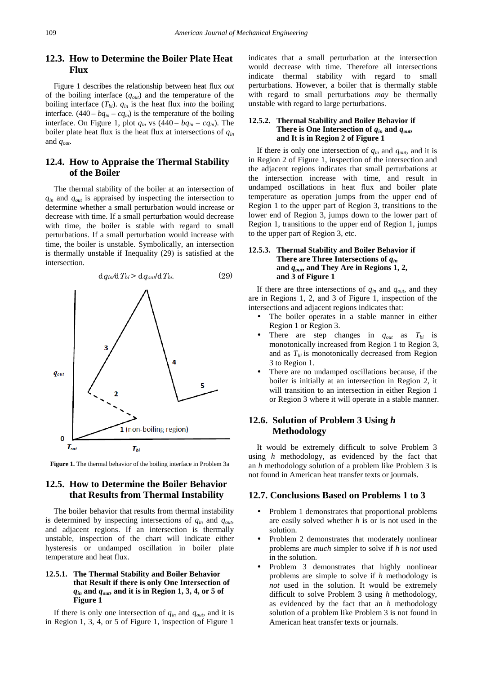### **12.3. How to Determine the Boiler Plate Heat Flux**

Figure 1 describes the relationship between heat flux *out* of the boiling interface (*qout*) and the temperature of the boiling interface  $(T_{bi})$ .  $q_{in}$  is the heat flux *into* the boiling interface.  $(440 - bq<sub>in</sub> - cq<sub>in</sub>)$  is the temperature of the boiling interface. On Figure 1, plot  $q_{in}$  vs  $(440 - bq_{in} - cq_{in})$ . The boiler plate heat flux is the heat flux at intersections of *qin* and *qout*.

### **12.4. How to Appraise the Thermal Stability of the Boiler**

The thermal stability of the boiler at an intersection of  $q_{in}$  and  $q_{out}$  is appraised by inspecting the intersection to determine whether a small perturbation would increase or decrease with time. If a small perturbation would decrease with time, the boiler is stable with regard to small perturbations. If a small perturbation would increase with time, the boiler is unstable. Symbolically, an intersection is thermally unstable if Inequality (29) is satisfied at the intersection.





### **12.5. How to Determine the Boiler Behavior that Results from Thermal Instability**

The boiler behavior that results from thermal instability is determined by inspecting intersections of *qin* and *qout*, and adjacent regions. If an intersection is thermally unstable, inspection of the chart will indicate either hysteresis or undamped oscillation in boiler plate temperature and heat flux.

#### **12.5.1. The Thermal Stability and Boiler Behavior that Result if there is only One Intersection of**  *qin* **and** *qout***, and it is in Region 1, 3, 4, or 5 of Figure 1**

If there is only one intersection of *qin* and *qout*, and it is in Region 1, 3, 4, or 5 of Figure 1, inspection of Figure 1

indicates that a small perturbation at the intersection would decrease with time. Therefore all intersections indicate thermal stability with regard to small perturbations. However, a boiler that is thermally stable with regard to small perturbations *may* be thermally unstable with regard to large perturbations.

#### **12.5.2. Thermal Stability and Boiler Behavior if There is One Intersection of**  $q_{in}$  **and**  $q_{out}$ **, and It is in Region 2 of Figure 1**

If there is only one intersection of *qin* and *qout*, and it is in Region 2 of Figure 1, inspection of the intersection and the adjacent regions indicates that small perturbations at the intersection increase with time, and result in undamped oscillations in heat flux and boiler plate temperature as operation jumps from the upper end of Region 1 to the upper part of Region 3, transitions to the lower end of Region 3, jumps down to the lower part of Region 1, transitions to the upper end of Region 1, jumps to the upper part of Region 3, etc.

#### **12.5.3. Thermal Stability and Boiler Behavior if There are Three Intersections of** *qin* **and** *qout***, and They Are in Regions 1, 2, and 3 of Figure 1**

If there are three intersections of *qin* and *qout*, and they are in Regions 1, 2, and 3 of Figure 1, inspection of the intersections and adjacent regions indicates that:

- The boiler operates in a stable manner in either Region 1 or Region 3.
- There are step changes in *qout* as *Tbi* is monotonically increased from Region 1 to Region 3, and as  $T_{bi}$  is monotonically decreased from Region 3 to Region 1.
- There are no undamped oscillations because, if the boiler is initially at an intersection in Region 2, it will transition to an intersection in either Region 1 or Region 3 where it will operate in a stable manner.

### **12.6. Solution of Problem 3 Using** *h* **Methodology**

It would be extremely difficult to solve Problem 3 using *h* methodology, as evidenced by the fact that an *h* methodology solution of a problem like Problem 3 is not found in American heat transfer texts or journals.

#### **12.7. Conclusions Based on Problems 1 to 3**

- Problem 1 demonstrates that proportional problems are easily solved whether *h* is or is not used in the solution.
- Problem 2 demonstrates that moderately nonlinear problems are *much* simpler to solve if *h* is *not* used in the solution.
- Problem 3 demonstrates that highly nonlinear problems are simple to solve if *h* methodology is *not* used in the solution. It would be extremely difficult to solve Problem 3 using *h* methodology, as evidenced by the fact that an *h* methodology solution of a problem like Problem 3 is not found in American heat transfer texts or journals.